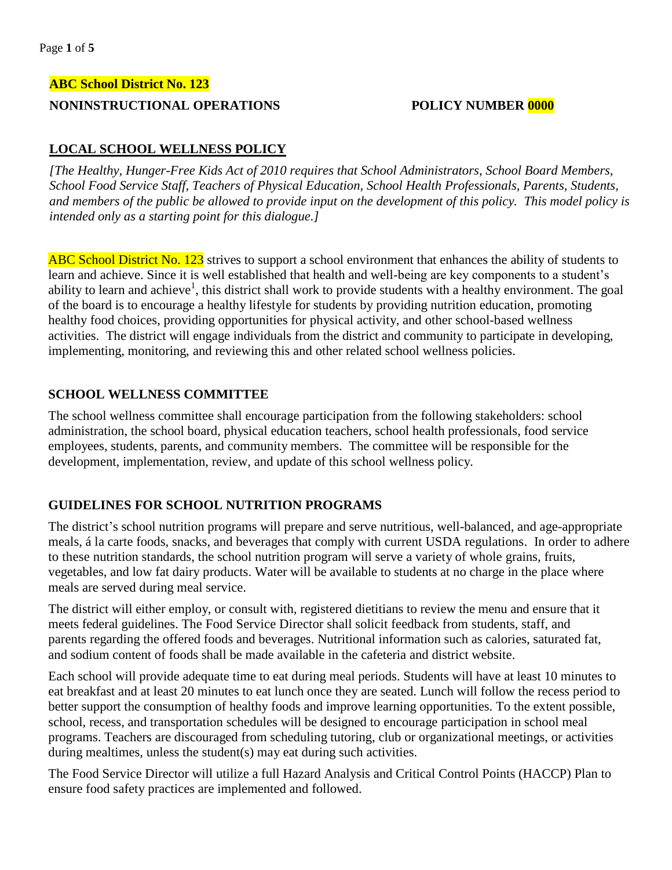## **ABC School District No. 123**

## **NONINSTRUCTIONAL OPERATIONS POLICY NUMBER 0000**

# **LOCAL SCHOOL WELLNESS POLICY**

*[The Healthy, Hunger-Free Kids Act of 2010 requires that School Administrators, School Board Members, School Food Service Staff, Teachers of Physical Education, School Health Professionals, Parents, Students, and members of the public be allowed to provide input on the development of this policy. This model policy is intended only as a starting point for this dialogue.]* 

ABC School District No. 123 strives to support a school environment that enhances the ability of students to learn and achieve. Since it is well established that health and well-being are key components to a student's ability to learn and achieve<sup>1</sup>, this district shall work to provide students with a healthy environment. The goal of the board is to encourage a healthy lifestyle for students by providing nutrition education, promoting healthy food choices, providing opportunities for physical activity, and other school-based wellness activities. The district will engage individuals from the district and community to participate in developing, implementing, monitoring, and reviewing this and other related school wellness policies.

## **SCHOOL WELLNESS COMMITTEE**

The school wellness committee shall encourage participation from the following stakeholders: school administration, the school board, physical education teachers, school health professionals, food service employees, students, parents, and community members. The committee will be responsible for the development, implementation, review, and update of this school wellness policy.

## **GUIDELINES FOR SCHOOL NUTRITION PROGRAMS**

The district's school nutrition programs will prepare and serve nutritious, well-balanced, and age-appropriate meals, á la carte foods, snacks, and beverages that comply with current USDA regulations. In order to adhere to these nutrition standards, the school nutrition program will serve a variety of whole grains, fruits, vegetables, and low fat dairy products. Water will be available to students at no charge in the place where meals are served during meal service.

The district will either employ, or consult with, registered dietitians to review the menu and ensure that it meets federal guidelines. The Food Service Director shall solicit feedback from students, staff, and parents regarding the offered foods and beverages. Nutritional information such as calories, saturated fat, and sodium content of foods shall be made available in the cafeteria and district website.

Each school will provide adequate time to eat during meal periods. Students will have at least 10 minutes to eat breakfast and at least 20 minutes to eat lunch once they are seated. Lunch will follow the recess period to better support the consumption of healthy foods and improve learning opportunities. To the extent possible, school, recess, and transportation schedules will be designed to encourage participation in school meal programs. Teachers are discouraged from scheduling tutoring, club or organizational meetings, or activities during mealtimes, unless the student(s) may eat during such activities.

The Food Service Director will utilize a full Hazard Analysis and Critical Control Points (HACCP) Plan to ensure food safety practices are implemented and followed.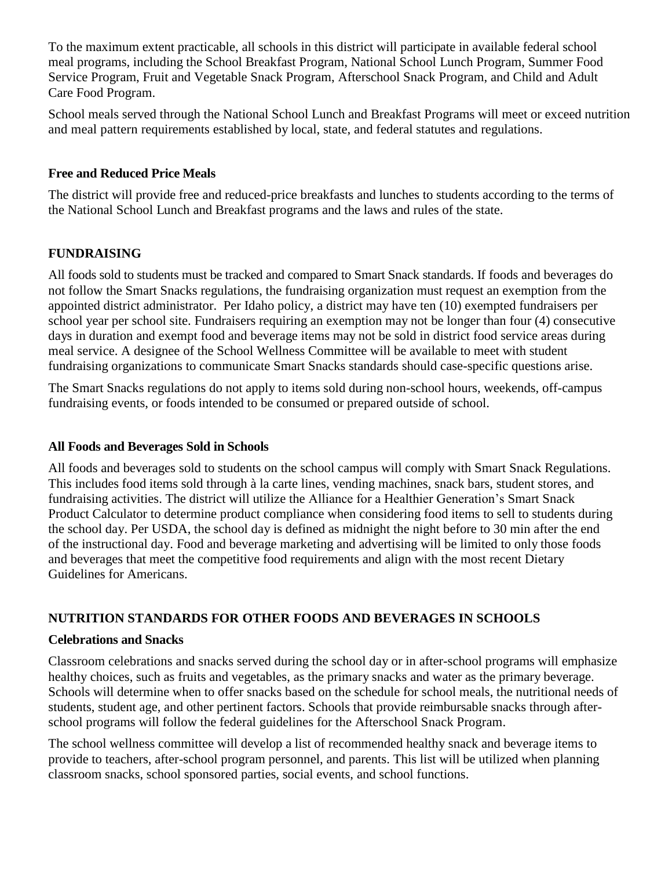To the maximum extent practicable, all schools in this district will participate in available federal school meal programs, including the School Breakfast Program, National School Lunch Program, Summer Food Service Program, Fruit and Vegetable Snack Program, Afterschool Snack Program, and Child and Adult Care Food Program.

School meals served through the National School Lunch and Breakfast Programs will meet or exceed nutrition and meal pattern requirements established by local, state, and federal statutes and regulations.

## **Free and Reduced Price Meals**

The district will provide free and reduced-price breakfasts and lunches to students according to the terms of the National School Lunch and Breakfast programs and the laws and rules of the state.

## **FUNDRAISING**

All foods sold to students must be tracked and compared to Smart Snack standards. If foods and beverages do not follow the Smart Snacks regulations, the fundraising organization must request an exemption from the appointed district administrator. Per Idaho policy, a district may have ten (10) exempted fundraisers per school year per school site. Fundraisers requiring an exemption may not be longer than four (4) consecutive days in duration and exempt food and beverage items may not be sold in district food service areas during meal service. A designee of the School Wellness Committee will be available to meet with student fundraising organizations to communicate Smart Snacks standards should case-specific questions arise.

The Smart Snacks regulations do not apply to items sold during non-school hours, weekends, off-campus fundraising events, or foods intended to be consumed or prepared outside of school.

### **All Foods and Beverages Sold in Schools**

All foods and beverages sold to students on the school campus will comply with Smart Snack Regulations. This includes food items sold through à la carte lines, vending machines, snack bars, student stores, and fundraising activities. The district will utilize the Alliance for a Healthier Generation's Smart Snack Product Calculator to determine product compliance when considering food items to sell to students during the school day. Per USDA, the school day is defined as midnight the night before to 30 min after the end of the instructional day. Food and beverage marketing and advertising will be limited to only those foods and beverages that meet the competitive food requirements and align with the most recent Dietary Guidelines for Americans.

## **NUTRITION STANDARDS FOR OTHER FOODS AND BEVERAGES IN SCHOOLS**

### **Celebrations and Snacks**

Classroom celebrations and snacks served during the school day or in after-school programs will emphasize healthy choices, such as fruits and vegetables, as the primary snacks and water as the primary beverage. Schools will determine when to offer snacks based on the schedule for school meals, the nutritional needs of students, student age, and other pertinent factors. Schools that provide reimbursable snacks through afterschool programs will follow the federal guidelines for the Afterschool Snack Program.

The school wellness committee will develop a list of recommended healthy snack and beverage items to provide to teachers, after-school program personnel, and parents. This list will be utilized when planning classroom snacks, school sponsored parties, social events, and school functions.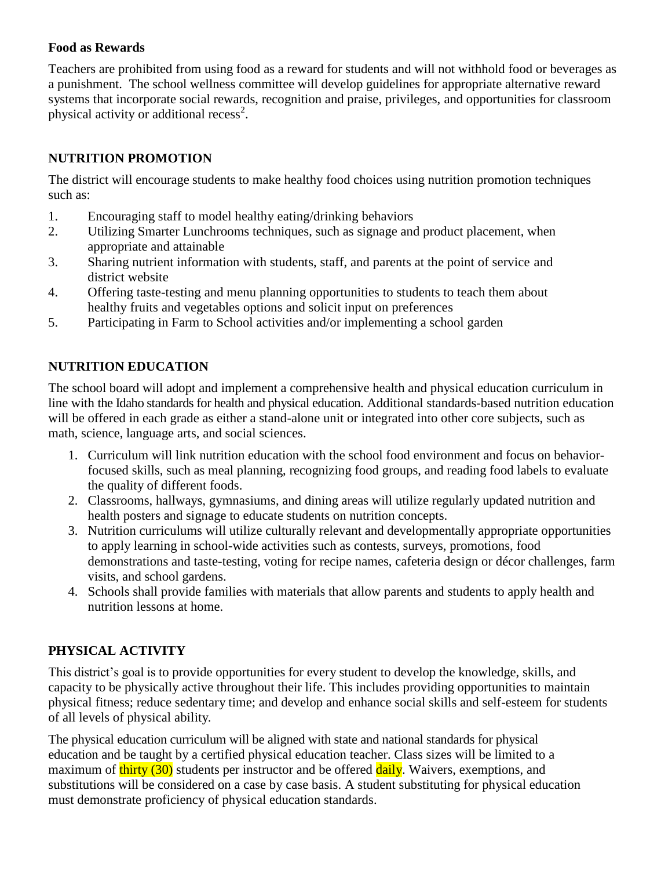## **Food as Rewards**

Teachers are prohibited from using food as a reward for students and will not withhold food or beverages as a punishment. The school wellness committee will develop guidelines for appropriate alternative reward systems that incorporate social rewards, recognition and praise, privileges, and opportunities for classroom physical activity or additional recess<sup>2</sup>.

# **NUTRITION PROMOTION**

The district will encourage students to make healthy food choices using nutrition promotion techniques such as:

- 1. Encouraging staff to model healthy eating/drinking behaviors
- 2. Utilizing Smarter Lunchrooms techniques, such as signage and product placement, when appropriate and attainable
- 3. Sharing nutrient information with students, staff, and parents at the point of service and district website
- 4. Offering taste-testing and menu planning opportunities to students to teach them about healthy fruits and vegetables options and solicit input on preferences
- 5. Participating in Farm to School activities and/or implementing a school garden

# **NUTRITION EDUCATION**

The school board will adopt and implement a comprehensive health and physical education curriculum in line with the Idaho standards for health and physical education. Additional standards-based nutrition education will be offered in each grade as either a stand-alone unit or integrated into other core subjects, such as math, science, language arts, and social sciences.

- 1. Curriculum will link nutrition education with the school food environment and focus on behaviorfocused skills, such as meal planning, recognizing food groups, and reading food labels to evaluate the quality of different foods.
- 2. Classrooms, hallways, gymnasiums, and dining areas will utilize regularly updated nutrition and health posters and signage to educate students on nutrition concepts.
- 3. Nutrition curriculums will utilize culturally relevant and developmentally appropriate opportunities to apply learning in school-wide activities such as contests, surveys, promotions, food demonstrations and taste-testing, voting for recipe names, cafeteria design or décor challenges, farm visits, and school gardens.
- 4. Schools shall provide families with materials that allow parents and students to apply health and nutrition lessons at home.

# **PHYSICAL ACTIVITY**

This district's goal is to provide opportunities for every student to develop the knowledge, skills, and capacity to be physically active throughout their life. This includes providing opportunities to maintain physical fitness; reduce sedentary time; and develop and enhance social skills and self-esteem for students of all levels of physical ability.

The physical education curriculum will be aligned with state and national standards for physical education and be taught by a certified physical education teacher. Class sizes will be limited to a maximum of thirty (30) students per instructor and be offered daily. Waivers, exemptions, and substitutions will be considered on a case by case basis. A student substituting for physical education must demonstrate proficiency of physical education standards.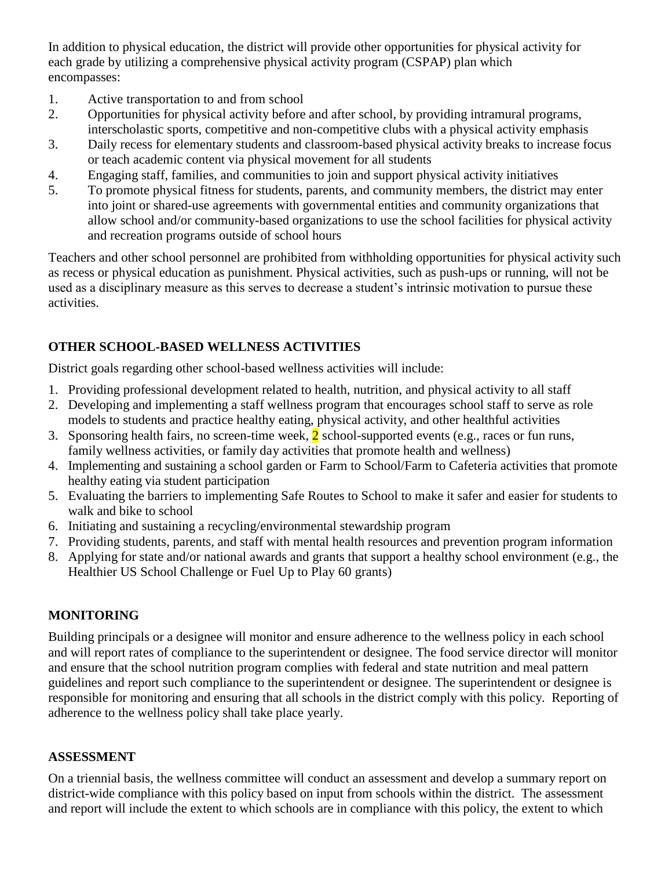In addition to physical education, the district will provide other opportunities for physical activity for each grade by utilizing a comprehensive physical activity program (CSPAP) plan which encompasses:

- 1. Active transportation to and from school
- 2. Opportunities for physical activity before and after school, by providing intramural programs, interscholastic sports, competitive and non-competitive clubs with a physical activity emphasis
- 3. Daily recess for elementary students and classroom-based physical activity breaks to increase focus or teach academic content via physical movement for all students
- 4. Engaging staff, families, and communities to join and support physical activity initiatives
- 5. To promote physical fitness for students, parents, and community members, the district may enter into joint or shared-use agreements with governmental entities and community organizations that allow school and/or community-based organizations to use the school facilities for physical activity and recreation programs outside of school hours

Teachers and other school personnel are prohibited from withholding opportunities for physical activity such as recess or physical education as punishment. Physical activities, such as push-ups or running, will not be used as a disciplinary measure as this serves to decrease a student's intrinsic motivation to pursue these activities.

# **OTHER SCHOOL-BASED WELLNESS ACTIVITIES**

District goals regarding other school-based wellness activities will include:

- 1. Providing professional development related to health, nutrition, and physical activity to all staff
- 2. Developing and implementing a staff wellness program that encourages school staff to serve as role models to students and practice healthy eating, physical activity, and other healthful activities
- 3. Sponsoring health fairs, no screen-time week,  $2$  school-supported events (e.g., races or fun runs, family wellness activities, or family day activities that promote health and wellness)
- 4. Implementing and sustaining a school garden or Farm to School/Farm to Cafeteria activities that promote healthy eating via student participation
- 5. Evaluating the barriers to implementing Safe Routes to School to make it safer and easier for students to walk and bike to school
- 6. Initiating and sustaining a recycling/environmental stewardship program
- 7. Providing students, parents, and staff with mental health resources and prevention program information
- 8. Applying for state and/or national awards and grants that support a healthy school environment (e.g., the Healthier US School Challenge or Fuel Up to Play 60 grants)

# **MONITORING**

Building principals or a designee will monitor and ensure adherence to the wellness policy in each school and will report rates of compliance to the superintendent or designee. The food service director will monitor and ensure that the school nutrition program complies with federal and state nutrition and meal pattern guidelines and report such compliance to the superintendent or designee. The superintendent or designee is responsible for monitoring and ensuring that all schools in the district comply with this policy. Reporting of adherence to the wellness policy shall take place yearly.

# **ASSESSMENT**

On a triennial basis, the wellness committee will conduct an assessment and develop a summary report on district-wide compliance with this policy based on input from schools within the district. The assessment and report will include the extent to which schools are in compliance with this policy, the extent to which